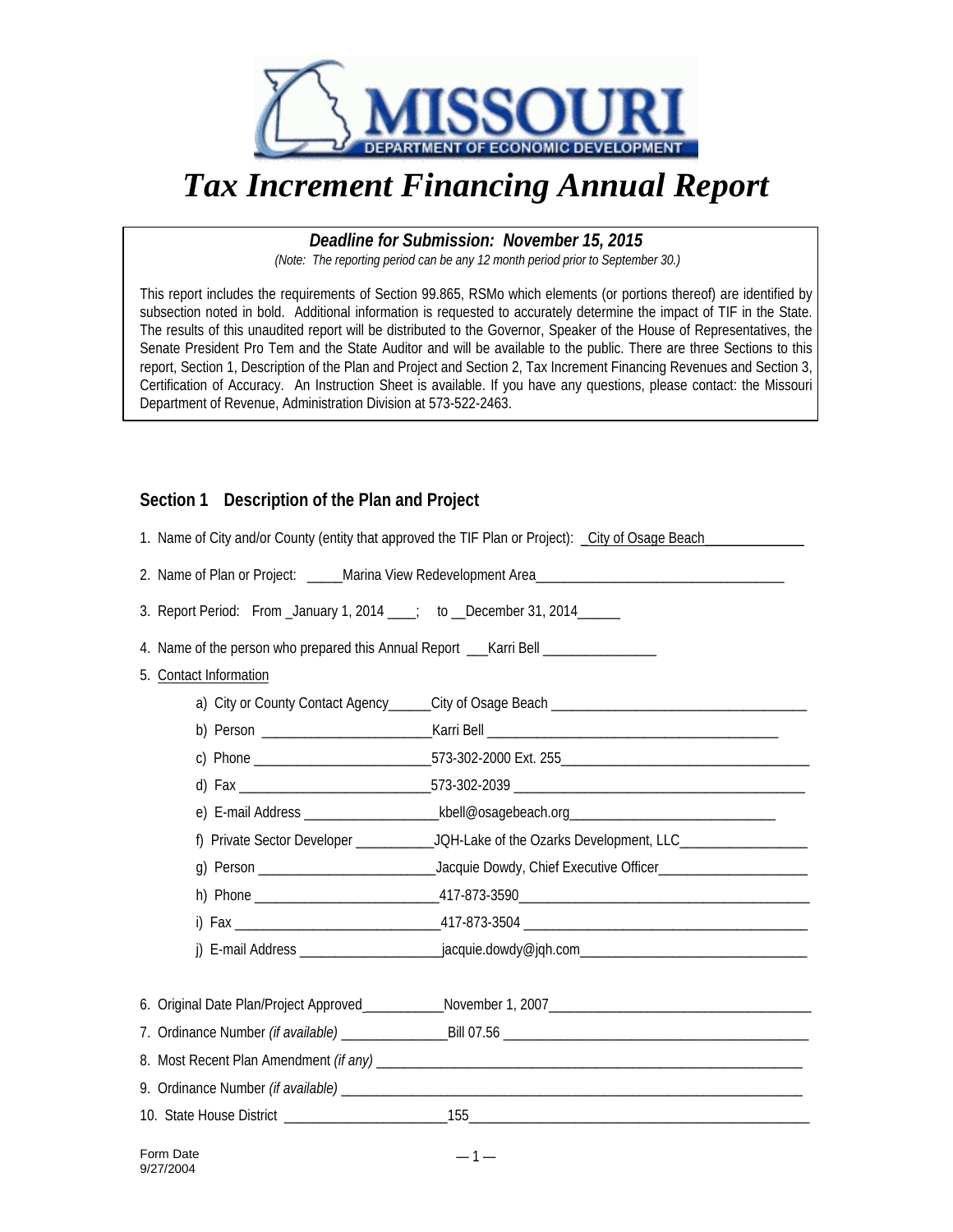

## *Tax Increment Financing Annual Report*

*Deadline for Submission: November 15, 2015 (Note: The reporting period can be any 12 month period prior to September 30.)*

This report includes the requirements of Section 99.865, RSMo which elements (or portions thereof) are identified by subsection noted in bold. Additional information is requested to accurately determine the impact of TIF in the State. The results of this unaudited report will be distributed to the Governor, Speaker of the House of Representatives, the Senate President Pro Tem and the State Auditor and will be available to the public. There are three Sections to this report, Section 1, Description of the Plan and Project and Section 2, Tax Increment Financing Revenues and Section 3, Certification of Accuracy. An Instruction Sheet is available. If you have any questions, please contact: the Missouri Department of Revenue, Administration Division at 573-522-2463.

## **Section 1 Description of the Plan and Project**

| 1. Name of City and/or County (entity that approved the TIF Plan or Project): _City of Osage Beach |                                                                                                     |  |  |  |
|----------------------------------------------------------------------------------------------------|-----------------------------------------------------------------------------------------------------|--|--|--|
|                                                                                                    |                                                                                                     |  |  |  |
| 3. Report Period: From _January 1, 2014 ___; to __December 31, 2014 _____                          |                                                                                                     |  |  |  |
| 4. Name of the person who prepared this Annual Report ___________________________                  |                                                                                                     |  |  |  |
| 5. Contact Information                                                                             |                                                                                                     |  |  |  |
|                                                                                                    |                                                                                                     |  |  |  |
|                                                                                                    |                                                                                                     |  |  |  |
|                                                                                                    |                                                                                                     |  |  |  |
|                                                                                                    |                                                                                                     |  |  |  |
|                                                                                                    |                                                                                                     |  |  |  |
|                                                                                                    |                                                                                                     |  |  |  |
|                                                                                                    |                                                                                                     |  |  |  |
|                                                                                                    |                                                                                                     |  |  |  |
|                                                                                                    |                                                                                                     |  |  |  |
|                                                                                                    | j) E-mail Address ________________________jacquie.dowdy@jqh.com ___________________________________ |  |  |  |
|                                                                                                    |                                                                                                     |  |  |  |
|                                                                                                    |                                                                                                     |  |  |  |
|                                                                                                    |                                                                                                     |  |  |  |
|                                                                                                    |                                                                                                     |  |  |  |
|                                                                                                    |                                                                                                     |  |  |  |
|                                                                                                    |                                                                                                     |  |  |  |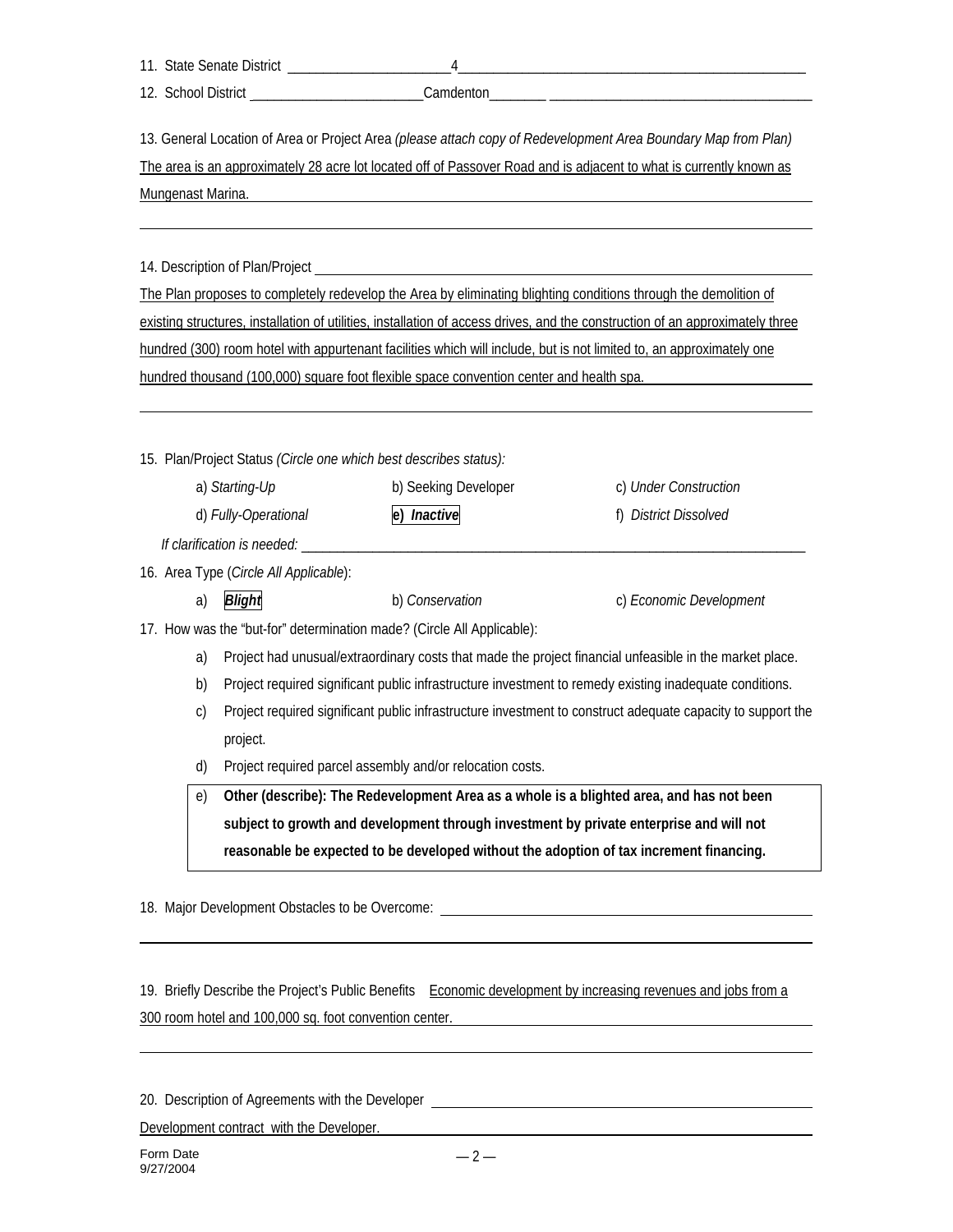11. State Senate District \_\_\_\_\_\_\_\_\_\_\_\_\_\_\_\_\_\_\_\_\_\_\_4\_\_\_\_\_\_\_\_\_\_\_\_\_\_\_\_\_\_\_\_\_\_\_\_\_\_\_\_\_\_\_\_\_\_\_\_\_\_\_\_\_\_\_\_\_\_\_\_\_

12. School District entertainment of the Camdenton

13. General Location of Area or Project Area *(please attach copy of Redevelopment Area Boundary Map from Plan)* The area is an approximately 28 acre lot located off of Passover Road and is adjacent to what is currently known as Mungenast Marina.

14. Description of Plan/Project

The Plan proposes to completely redevelop the Area by eliminating blighting conditions through the demolition of existing structures, installation of utilities, installation of access drives, and the construction of an approximately three hundred (300) room hotel with appurtenant facilities which will include, but is not limited to, an approximately one hundred thousand (100,000) square foot flexible space convention center and health spa.

15. Plan/Project Status *(Circle one which best describes status):*

| a) Starting-Up                         | b) Seeking Developer | c) Under Construction   |
|----------------------------------------|----------------------|-------------------------|
| d) Fully-Operational                   | e) Inactive          | f) District Dissolved   |
| If clarification is needed:            |                      |                         |
| 16. Area Type (Circle All Applicable): |                      |                         |
| <b>Blight</b><br>a)                    | b) Conservation      | c) Economic Development |

17. How was the "but-for" determination made? (Circle All Applicable):

- a) Project had unusual/extraordinary costs that made the project financial unfeasible in the market place.
- b) Project required significant public infrastructure investment to remedy existing inadequate conditions.
- c) Project required significant public infrastructure investment to construct adequate capacity to support the project.
- d) Project required parcel assembly and/or relocation costs.

e) **Other (describe): The Redevelopment Area as a whole is a blighted area, and has not been subject to growth and development through investment by private enterprise and will not reasonable be expected to be developed without the adoption of tax increment financing.**

18. Major Development Obstacles to be Overcome:

19. Briefly Describe the Project's Public Benefits Economic development by increasing revenues and jobs from a 300 room hotel and 100,000 sq. foot convention center.

20. Description of Agreements with the Developer

Development contract with the Developer.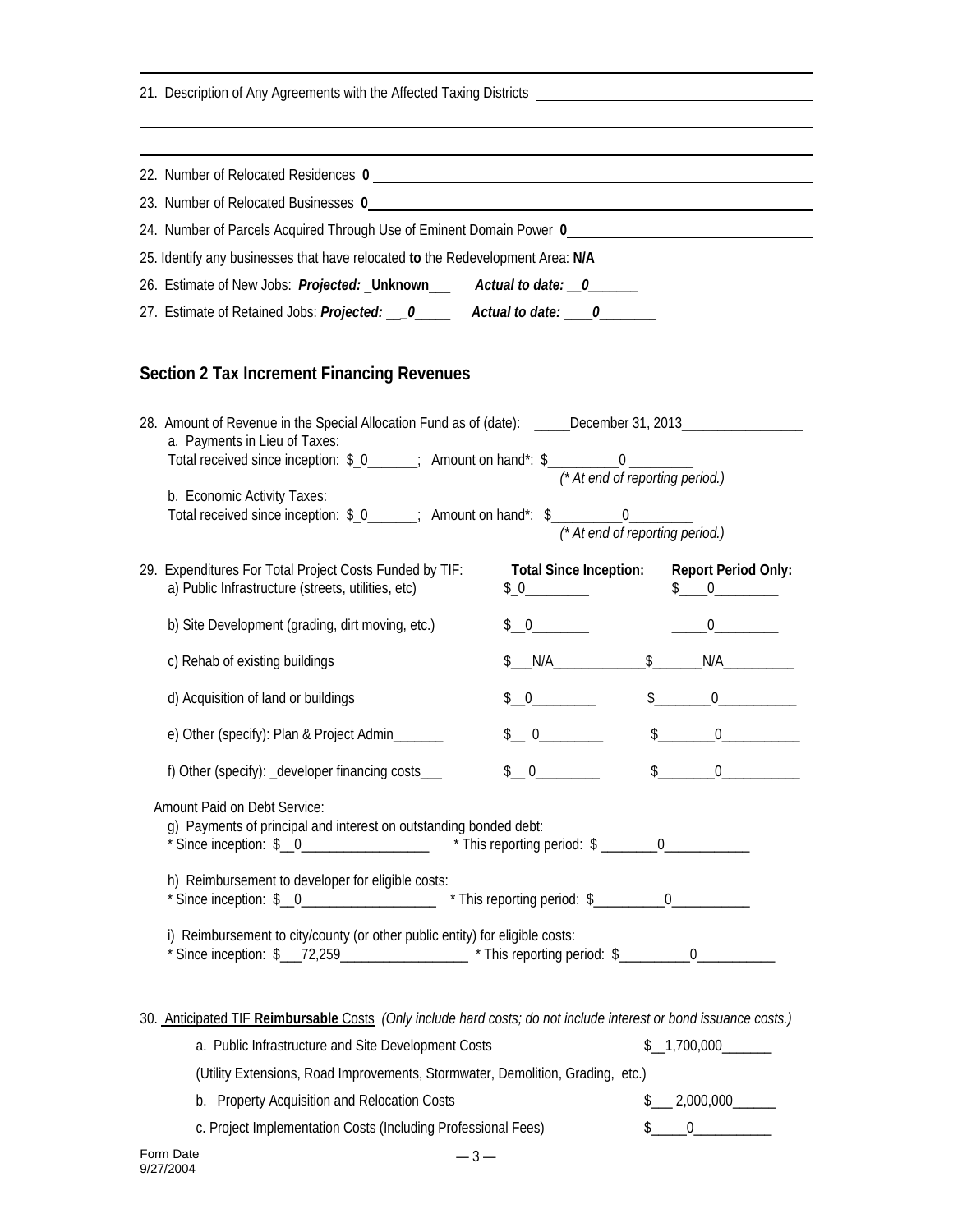| 21. Description of Any Agreements with the Affected Taxing Districts _______________________________ |                                                                                                                                                                                                                              |                 |                                                                    |
|------------------------------------------------------------------------------------------------------|------------------------------------------------------------------------------------------------------------------------------------------------------------------------------------------------------------------------------|-----------------|--------------------------------------------------------------------|
|                                                                                                      |                                                                                                                                                                                                                              |                 |                                                                    |
|                                                                                                      |                                                                                                                                                                                                                              |                 |                                                                    |
|                                                                                                      |                                                                                                                                                                                                                              |                 |                                                                    |
|                                                                                                      | 24. Number of Parcels Acquired Through Use of Eminent Domain Power 0                                                                                                                                                         |                 |                                                                    |
|                                                                                                      | 25. Identify any businesses that have relocated to the Redevelopment Area: N/A                                                                                                                                               |                 |                                                                    |
|                                                                                                      | 26. Estimate of New Jobs: Projected: _Unknown____ Actual to date: __0______                                                                                                                                                  |                 |                                                                    |
|                                                                                                      | 27. Estimate of Retained Jobs: Projected: __0_____ Actual to date: ___0______                                                                                                                                                |                 |                                                                    |
|                                                                                                      | <b>Section 2 Tax Increment Financing Revenues</b>                                                                                                                                                                            |                 |                                                                    |
|                                                                                                      | 28. Amount of Revenue in the Special Allocation Fund as of (date): _____December 31, 2013___________<br>a. Payments in Lieu of Taxes:<br>Total received since inception: \$_0_____; Amount on hand*: \$___________0 ________ |                 |                                                                    |
|                                                                                                      | b. Economic Activity Taxes:<br>Total received since inception: \$_0_____; Amount on hand*: \$___________0_________                                                                                                           |                 | (* At end of reporting period.)<br>(* At end of reporting period.) |
|                                                                                                      | 29. Expenditures For Total Project Costs Funded by TIF:<br>a) Public Infrastructure (streets, utilities, etc)                                                                                                                | $$0$ and $$$    | Total Since Inception: Report Period Only:<br>$\frac{1}{2}$ 0      |
|                                                                                                      | b) Site Development (grading, dirt moving, etc.)                                                                                                                                                                             |                 |                                                                    |
|                                                                                                      | c) Rehab of existing buildings                                                                                                                                                                                               | \$M/A           | $$$ $N/A$                                                          |
|                                                                                                      | d) Acquisition of land or buildings                                                                                                                                                                                          | \$0             | $\frac{1}{2}$                                                      |
|                                                                                                      | e) Other (specify): Plan & Project Admin_______                                                                                                                                                                              | $\frac{1}{2}$ 0 | $\frac{1}{2}$<br>$\overline{0}$                                    |
|                                                                                                      | f) Other (specify): _developer financing costs___                                                                                                                                                                            | $\frac{1}{2}$ 0 | $\frac{1}{2}$<br>$\overline{0}$                                    |
|                                                                                                      | Amount Paid on Debt Service:<br>g) Payments of principal and interest on outstanding bonded debt:<br>* Since inception: $\frac{1}{2}$ 0_____________________ * This reporting period: $\frac{1}{2}$ _______0_____________    |                 |                                                                    |
|                                                                                                      | h) Reimbursement to developer for eligible costs:<br>* Since inception: \$ _0_____________________ * This reporting period: \$ ________0__________                                                                           |                 |                                                                    |
|                                                                                                      | i) Reimbursement to city/county (or other public entity) for eligible costs:                                                                                                                                                 |                 |                                                                    |
|                                                                                                      | 30. Anticipated TIF Reimbursable Costs (Only include hard costs; do not include interest or bond issuance costs.)                                                                                                            |                 |                                                                    |
|                                                                                                      | a. Public Infrastructure and Site Development Costs                                                                                                                                                                          |                 | \$1,700,000                                                        |
|                                                                                                      | (Utility Extensions, Road Improvements, Stormwater, Demolition, Grading, etc.)                                                                                                                                               |                 |                                                                    |
|                                                                                                      | b. Property Acquisition and Relocation Costs                                                                                                                                                                                 |                 |                                                                    |
|                                                                                                      | c. Project Implementation Costs (Including Professional Fees)                                                                                                                                                                |                 | $\frac{1}{2}$ 0                                                    |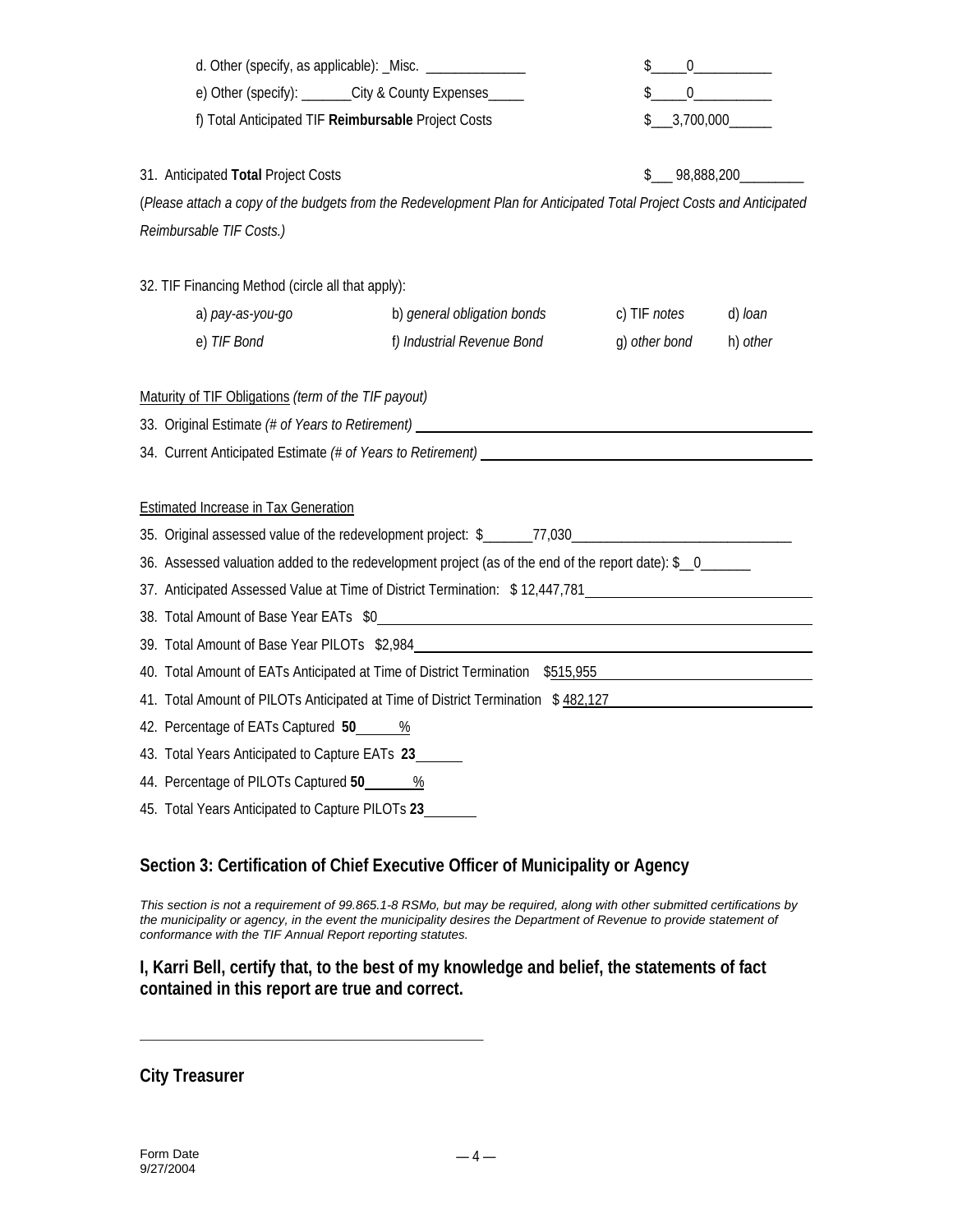|                                                                                                                                                                                                                                 | d. Other (specify, as applicable): _Misc. _________________ |                                                                                                                      | \$            | $0 \qquad \qquad$ |  |
|---------------------------------------------------------------------------------------------------------------------------------------------------------------------------------------------------------------------------------|-------------------------------------------------------------|----------------------------------------------------------------------------------------------------------------------|---------------|-------------------|--|
| e) Other (specify): ______City & County Expenses_____                                                                                                                                                                           |                                                             |                                                                                                                      | $$$ 0         |                   |  |
|                                                                                                                                                                                                                                 | f) Total Anticipated TIF Reimbursable Project Costs         |                                                                                                                      | \$1,700,000   |                   |  |
|                                                                                                                                                                                                                                 | 31. Anticipated Total Project Costs                         |                                                                                                                      |               | $$$ 98,888,200    |  |
|                                                                                                                                                                                                                                 |                                                             | (Please attach a copy of the budgets from the Redevelopment Plan for Anticipated Total Project Costs and Anticipated |               |                   |  |
|                                                                                                                                                                                                                                 | Reimbursable TIF Costs.)                                    |                                                                                                                      |               |                   |  |
|                                                                                                                                                                                                                                 | 32. TIF Financing Method (circle all that apply):           |                                                                                                                      |               |                   |  |
|                                                                                                                                                                                                                                 | a) pay-as-you-go                                            | b) general obligation bonds                                                                                          | c) TIF notes  | d) loan           |  |
|                                                                                                                                                                                                                                 | e) TIF Bond                                                 | f) Industrial Revenue Bond                                                                                           | g) other bond | h) other          |  |
|                                                                                                                                                                                                                                 |                                                             | 33. Original Estimate (# of Years to Retirement) _______________________________                                     |               |                   |  |
|                                                                                                                                                                                                                                 |                                                             |                                                                                                                      |               |                   |  |
|                                                                                                                                                                                                                                 | <b>Estimated Increase in Tax Generation</b>                 |                                                                                                                      |               |                   |  |
|                                                                                                                                                                                                                                 |                                                             |                                                                                                                      |               |                   |  |
|                                                                                                                                                                                                                                 |                                                             | 36. Assessed valuation added to the redevelopment project (as of the end of the report date): \$_0____               |               |                   |  |
| 37. Anticipated Assessed Value at Time of District Termination: \$12,447,781                                                                                                                                                    |                                                             |                                                                                                                      |               |                   |  |
|                                                                                                                                                                                                                                 |                                                             |                                                                                                                      |               |                   |  |
| 39. Total Amount of Base Year PILOTs \$2,984 Learner and the control of the control of the control of the control of the control of the control of the control of the control of the control of the control of the control of t |                                                             |                                                                                                                      |               |                   |  |
| 40. Total Amount of EATs Anticipated at Time of District Termination \$515,955<br>41. Total Amount of PILOTs Anticipated at Time of District Termination \$482,127                                                              |                                                             |                                                                                                                      |               |                   |  |
| 42. Percentage of EATs Captured 50 _____ %                                                                                                                                                                                      |                                                             |                                                                                                                      |               |                   |  |
| 43. Total Years Anticipated to Capture EATs 23                                                                                                                                                                                  |                                                             |                                                                                                                      |               |                   |  |
| 44. Percentage of PILOTs Captured 50 8                                                                                                                                                                                          |                                                             |                                                                                                                      |               |                   |  |
|                                                                                                                                                                                                                                 | 45. Total Years Anticipated to Capture PILOTs 23_           |                                                                                                                      |               |                   |  |
|                                                                                                                                                                                                                                 |                                                             |                                                                                                                      |               |                   |  |

## **Section 3: Certification of Chief Executive Officer of Municipality or Agency**

*This section is not a requirement of 99.865.1-8 RSMo, but may be required, along with other submitted certifications by the municipality or agency, in the event the municipality desires the Department of Revenue to provide statement of conformance with the TIF Annual Report reporting statutes.*

**I, Karri Bell, certify that, to the best of my knowledge and belief, the statements of fact contained in this report are true and correct.**

**City Treasurer**

**\_\_\_\_\_\_\_\_\_\_\_\_\_\_\_\_\_\_\_\_\_\_\_\_\_\_\_\_\_\_\_\_\_\_\_\_\_\_\_\_**